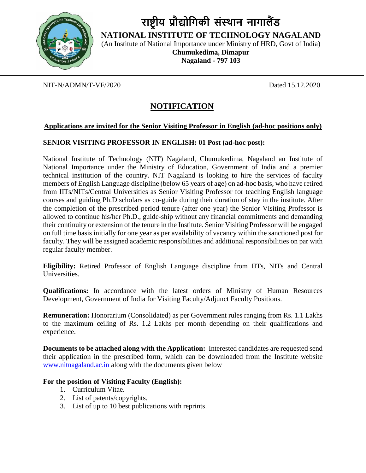

# **राष्ट्रीय प्रौद्योगिकी संस्थान नािालैंड**

**NATIONAL INSTITUTE OF TECHNOLOGY NAGALAND**

(An Institute of National Importance under Ministry of HRD, Govt of India)

**Chumukedima, Dimapur Nagaland - 797 103**

### NIT-N/ADMN/T-VF/2020 Dated 15.12.2020

## **NOTIFICATION**

#### **Applications are invited for the Senior Visiting Professor in English (ad-hoc positions only)**

#### **SENIOR VISITING PROFESSOR IN ENGLISH: 01 Post (ad-hoc post):**

National Institute of Technology (NIT) Nagaland, Chumukedima, Nagaland an Institute of National Importance under the Ministry of Education, Government of India and a premier technical institution of the country. NIT Nagaland is looking to hire the services of faculty members of English Language discipline (below 65 years of age) on ad-hoc basis, who have retired from IITs/NITs/Central Universities as Senior Visiting Professor for teaching English language courses and guiding Ph.D scholars as co-guide during their duration of stay in the institute. After the completion of the prescribed period tenure (after one year) the Senior Visiting Professor is allowed to continue his/her Ph.D., guide-ship without any financial commitments and demanding their continuity or extension of the tenure in the Institute. Senior Visiting Professor will be engaged on full time basis initially for one year as per availability of vacancy within the sanctioned post for faculty. They will be assigned academic responsibilities and additional responsibilities on par with regular faculty member.

**Eligibility:** Retired Professor of English Language discipline from IITs, NITs and Central Universities.

**Qualifications:** In accordance with the latest orders of Ministry of Human Resources Development, Government of India for Visiting Faculty/Adjunct Faculty Positions.

**Remuneration:** Honorarium (Consolidated) as per Government rules ranging from Rs. 1.1 Lakhs to the maximum ceiling of Rs. 1.2 Lakhs per month depending on their qualifications and experience.

**Documents to be attached along with the Application:** Interested candidates are requested send their application in the prescribed form, which can be downloaded from the Institute website www.nitnagaland.ac.in along with the documents given below

#### **For the position of Visiting Faculty (English):**

- 1. Curriculum Vitae.
- 2. List of patents/copyrights.
- 3. List of up to 10 best publications with reprints.